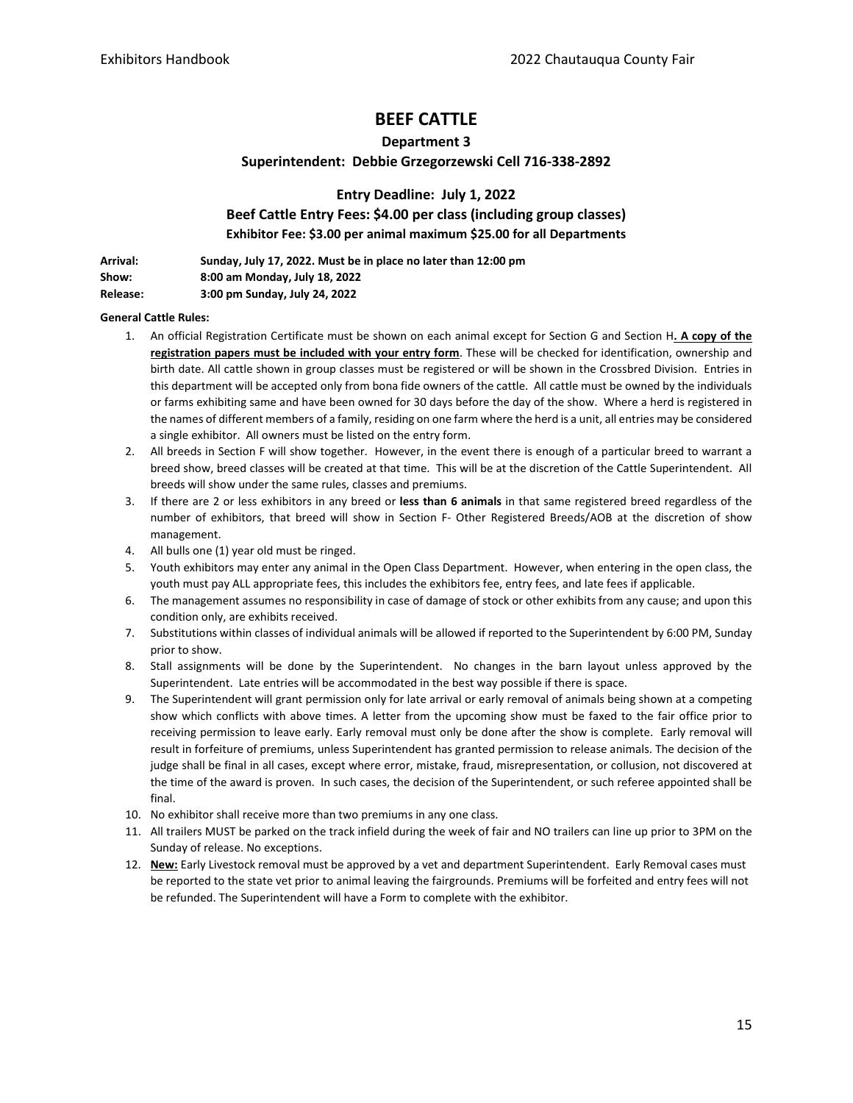# **BEEF CATTLE**

### **Department 3**

## **Superintendent: Debbie Grzegorzewski Cell 716-338-2892**

**Entry Deadline: July 1, 2022 Beef Cattle Entry Fees: \$4.00 per class (including group classes) Exhibitor Fee: \$3.00 per animal maximum \$25.00 for all Departments**

| Arrival: | Sunday, July 17, 2022. Must be in place no later than 12:00 pm |
|----------|----------------------------------------------------------------|
| Show:    | 8:00 am Monday, July 18, 2022                                  |
| Release: | 3:00 pm Sunday, July 24, 2022                                  |

#### **General Cattle Rules:**

- 1. An official Registration Certificate must be shown on each animal except for Section G and Section H**. A copy of the registration papers must be included with your entry form**. These will be checked for identification, ownership and birth date. All cattle shown in group classes must be registered or will be shown in the Crossbred Division. Entries in this department will be accepted only from bona fide owners of the cattle. All cattle must be owned by the individuals or farms exhibiting same and have been owned for 30 days before the day of the show. Where a herd is registered in the names of different members of a family, residing on one farm where the herd is a unit, all entries may be considered a single exhibitor. All owners must be listed on the entry form.
- 2. All breeds in Section F will show together. However, in the event there is enough of a particular breed to warrant a breed show, breed classes will be created at that time. This will be at the discretion of the Cattle Superintendent. All breeds will show under the same rules, classes and premiums.
- 3. If there are 2 or less exhibitors in any breed or **less than 6 animals** in that same registered breed regardless of the number of exhibitors, that breed will show in Section F- Other Registered Breeds/AOB at the discretion of show management.
- 4. All bulls one (1) year old must be ringed.
- 5. Youth exhibitors may enter any animal in the Open Class Department. However, when entering in the open class, the youth must pay ALL appropriate fees, this includes the exhibitors fee, entry fees, and late fees if applicable.
- 6. The management assumes no responsibility in case of damage of stock or other exhibits from any cause; and upon this condition only, are exhibits received.
- 7. Substitutions within classes of individual animals will be allowed if reported to the Superintendent by 6:00 PM, Sunday prior to show.
- 8. Stall assignments will be done by the Superintendent. No changes in the barn layout unless approved by the Superintendent. Late entries will be accommodated in the best way possible if there is space.
- 9. The Superintendent will grant permission only for late arrival or early removal of animals being shown at a competing show which conflicts with above times. A letter from the upcoming show must be faxed to the fair office prior to receiving permission to leave early. Early removal must only be done after the show is complete. Early removal will result in forfeiture of premiums, unless Superintendent has granted permission to release animals. The decision of the judge shall be final in all cases, except where error, mistake, fraud, misrepresentation, or collusion, not discovered at the time of the award is proven. In such cases, the decision of the Superintendent, or such referee appointed shall be final.
- 10. No exhibitor shall receive more than two premiums in any one class.
- 11. All trailers MUST be parked on the track infield during the week of fair and NO trailers can line up prior to 3PM on the Sunday of release. No exceptions.
- 12. **New:** Early Livestock removal must be approved by a vet and department Superintendent. Early Removal cases must be reported to the state vet prior to animal leaving the fairgrounds. Premiums will be forfeited and entry fees will not be refunded. The Superintendent will have a Form to complete with the exhibitor.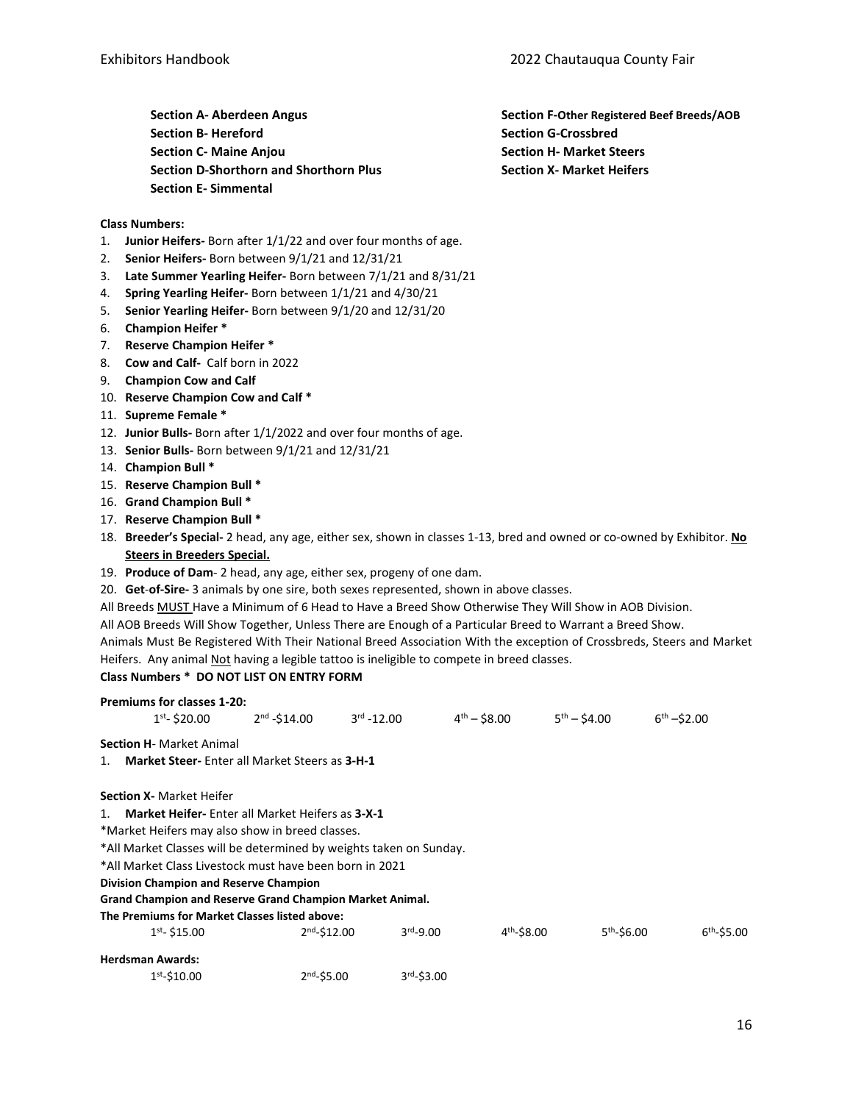**Section A- Aberdeen Angus Section B- Hereford Section C- Maine Anjou Section D-Shorthorn and Shorthorn Plus Section E- Simmental**

**Section F-Other Registered Beef Breeds/AOB Section G-Crossbred Section H- Market Steers Section X- Market Heifers**

#### **Class Numbers:**

- 1. **Junior Heifers-** Born after 1/1/22 and over four months of age.
- 2. **Senior Heifers-** Born between 9/1/21 and 12/31/21
- 3. **Late Summer Yearling Heifer-** Born between 7/1/21 and 8/31/21
- 4. **Spring Yearling Heifer-** Born between 1/1/21 and 4/30/21
- 5. **Senior Yearling Heifer-** Born between 9/1/20 and 12/31/20
- 6. **Champion Heifer \***
- 7. **Reserve Champion Heifer \***
- 8. **Cow and Calf-** Calf born in 2022
- 9. **Champion Cow and Calf**
- 10. **Reserve Champion Cow and Calf \***
- 11. **Supreme Female \***
- 12. **Junior Bulls-** Born after 1/1/2022 and over four months of age.
- 13. **Senior Bulls-** Born between 9/1/21 and 12/31/21
- 14. **Champion Bull \***
- 15. **Reserve Champion Bull \***
- 16. **Grand Champion Bull \***
- 17. **Reserve Champion Bull \***
- 18. **Breeder's Special-** 2 head, any age, either sex, shown in classes 1-13, bred and owned or co-owned by Exhibitor. **No Steers in Breeders Special.**
- 19. **Produce of Dam** 2 head, any age, either sex, progeny of one dam.
- 20. **Get**-**of-Sire-** 3 animals by one sire, both sexes represented, shown in above classes.
- All Breeds MUST Have a Minimum of 6 Head to Have a Breed Show Otherwise They Will Show in AOB Division.
- All AOB Breeds Will Show Together, Unless There are Enough of a Particular Breed to Warrant a Breed Show.
- Animals Must Be Registered With Their National Breed Association With the exception of Crossbreds, Steers and Market Heifers. Any animal Not having a legible tattoo is ineligible to compete in breed classes.

#### **Class Numbers \* DO NOT LIST ON ENTRY FORM**

|    | <b>Premiums for classes 1-20:</b>                                  |                |                     |                  |                  |                                          |
|----|--------------------------------------------------------------------|----------------|---------------------|------------------|------------------|------------------------------------------|
|    | $1st - $20.00$                                                     | $2nd - $14.00$ | $3^{\rm rd}$ -12.00 | $4^{th} - $8.00$ | $5^{th} - $4.00$ | $6th - $2.00$                            |
|    | <b>Section H-</b> Market Animal                                    |                |                     |                  |                  |                                          |
| 1. | <b>Market Steer-Enter all Market Steers as 3-H-1</b>               |                |                     |                  |                  |                                          |
|    | <b>Section X-</b> Market Heifer                                    |                |                     |                  |                  |                                          |
|    | 1. Market Heifer- Enter all Market Heifers as 3-X-1                |                |                     |                  |                  |                                          |
|    | *Market Heifers may also show in breed classes.                    |                |                     |                  |                  |                                          |
|    | *All Market Classes will be determined by weights taken on Sunday. |                |                     |                  |                  |                                          |
|    | *All Market Class Livestock must have been born in 2021            |                |                     |                  |                  |                                          |
|    | Division Champion and Reserve Champion                             |                |                     |                  |                  |                                          |
|    | <b>Grand Champion and Reserve Grand Champion Market Animal.</b>    |                |                     |                  |                  |                                          |
|    | The Premiums for Market Classes listed above:                      |                |                     |                  |                  |                                          |
|    | $1st - $15.00$                                                     | $2nd - $12.00$ | $3rd-9.00$          |                  | $4th - $8.00$    | 5 <sup>th</sup> -\$6.00<br>$6th - $5.00$ |
|    | <b>Herdsman Awards:</b>                                            |                |                     |                  |                  |                                          |
|    | $1st - $10.00$                                                     | $2nd - $5.00$  |                     | $3rd - $3.00$    |                  |                                          |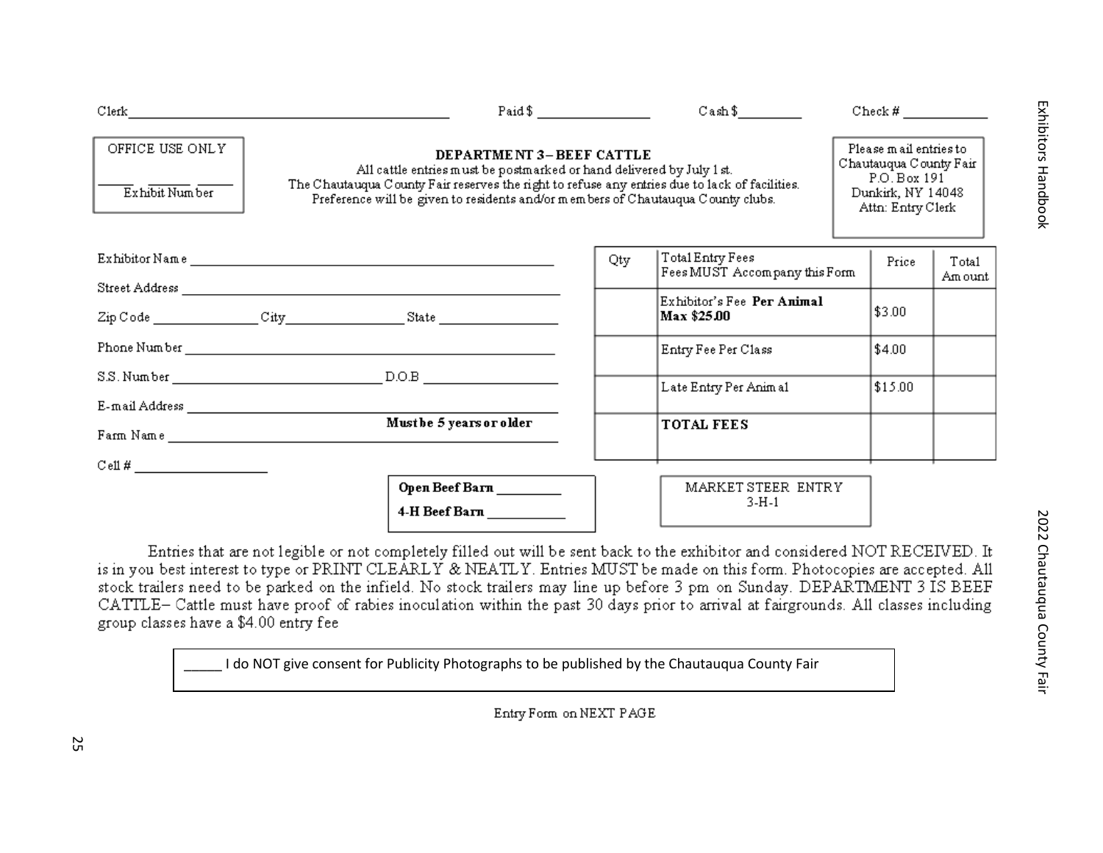|                                    | Paid $\frac{1}{2}$ $\frac{1}{2}$ $\frac{1}{2}$ $\frac{1}{2}$ $\frac{1}{2}$ $\frac{1}{2}$ $\frac{1}{2}$ $\frac{1}{2}$ $\frac{1}{2}$ $\frac{1}{2}$ $\frac{1}{2}$ $\frac{1}{2}$ $\frac{1}{2}$ $\frac{1}{2}$ $\frac{1}{2}$ $\frac{1}{2}$ $\frac{1}{2}$ $\frac{1}{2}$ $\frac{1}{2}$ $\frac{1}{2}$ $\frac{1}{2}$ $\frac{1}{$ |     | $\text{Cash }$ \$                                 |  | Check #                                                                                                    |                  |  |
|------------------------------------|------------------------------------------------------------------------------------------------------------------------------------------------------------------------------------------------------------------------------------------------------------------------------------------------------------------------|-----|---------------------------------------------------|--|------------------------------------------------------------------------------------------------------------|------------------|--|
| OFFICE USE ONLY<br>Exhibit Num ber | <b>DEPARTMENT 3-BEEF CATTLE</b><br>All cattle entries must be postmarked or hand delivered by July 1 st.<br>The Chautauqua County Fair reserves the right to refuse any entries due to lack of facilities.<br>Preference will be given to residents and/or members of Chautauqua County clubs.                         |     |                                                   |  | Please mail entries to<br>Chautauqua County Fair<br>P.O. Box 191<br>Dunkirk, NY 14048<br>Attn: Entry Clerk |                  |  |
|                                    |                                                                                                                                                                                                                                                                                                                        | Qty | Total Entry Fees<br>Fees MUST Accompany this Form |  | Price                                                                                                      | Total<br>Am ount |  |
|                                    |                                                                                                                                                                                                                                                                                                                        |     | Exhibitor's Fee Per Animal<br>Max \$25.00         |  | \$3.00                                                                                                     |                  |  |
|                                    |                                                                                                                                                                                                                                                                                                                        |     | Entry Fee Per Class                               |  | \$4.00                                                                                                     |                  |  |
|                                    |                                                                                                                                                                                                                                                                                                                        |     | Late Entry Per Animal                             |  | \$15.00                                                                                                    |                  |  |
|                                    |                                                                                                                                                                                                                                                                                                                        |     |                                                   |  |                                                                                                            |                  |  |
|                                    | Must be 5 years or older                                                                                                                                                                                                                                                                                               |     | <b>TOTAL FEES</b>                                 |  |                                                                                                            |                  |  |
|                                    |                                                                                                                                                                                                                                                                                                                        |     |                                                   |  |                                                                                                            |                  |  |
|                                    | Open Beef Barn _________<br>4-H Beef Barn __________                                                                                                                                                                                                                                                                   |     | MARKET STEER ENTRY<br>$3-H-1$                     |  |                                                                                                            |                  |  |

Entries that are not legible or not completely filled out will be sent back to the exhibitor and considered NOT RECEIVED. It is in you best interest to type or PRINT CLEARLY & NEATLY. Entries MUST be made on this form. Photocopies are accepted. All stock trailers need to be parked on the infield. No stock trailers may line up before 3 pm on Sunday. DEPARTMENT 3 IS BEEF CATTLE- Cattle must have proof of rabies inoculation within the past 30 days prior to arrival at fairgrounds. All classes including group classes have a \$4.00 entry fee

\_\_\_\_\_ I do NOT give consent for Publicity Photographs to be published by the Chautauqua County Fair

Entry Form on NEXT PAGE